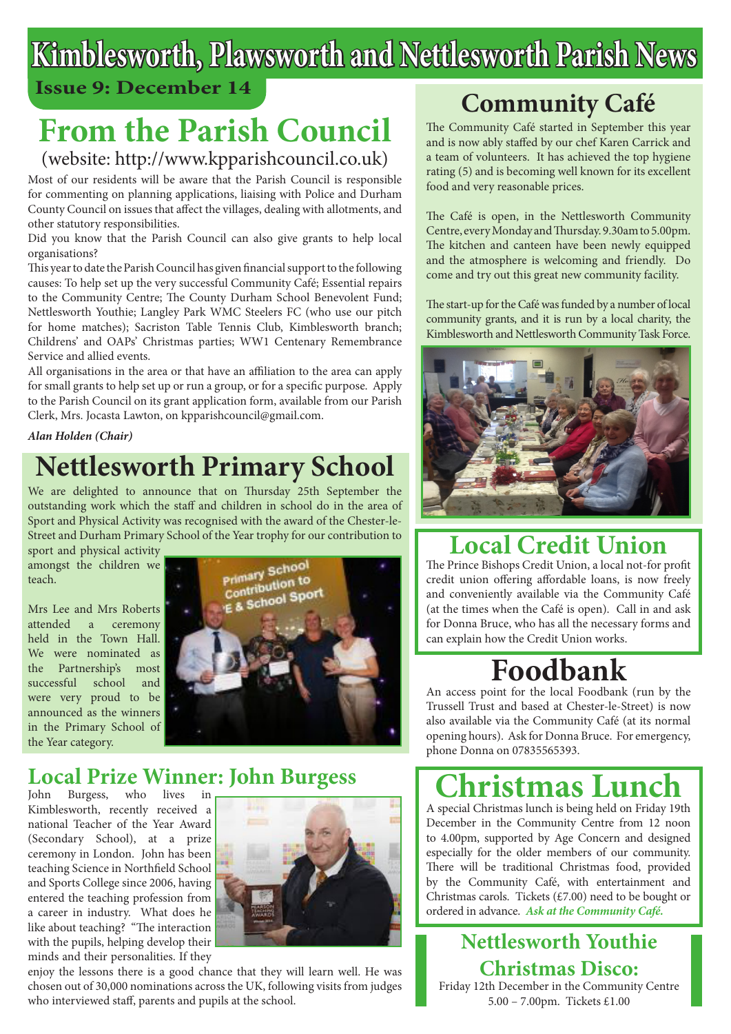# **Kimblesworth, Plawsworth and Nettlesworth Parish News**

### **Issue 9: December 14**

# **From the Parish Council**

### (website: http://www.kpparishcouncil.co.uk)

Most of our residents will be aware that the Parish Council is responsible for commenting on planning applications, liaising with Police and Durham County Council on issues that affect the villages, dealing with allotments, and other statutory responsibilities.

Did you know that the Parish Council can also give grants to help local organisations?

This year to date the Parish Council has given financial support to the following causes: To help set up the very successful Community Café; Essential repairs to the Community Centre; The County Durham School Benevolent Fund; Nettlesworth Youthie; Langley Park WMC Steelers FC (who use our pitch for home matches); Sacriston Table Tennis Club, Kimblesworth branch; Childrens' and OAPs' Christmas parties; WW1 Centenary Remembrance Service and allied events.

All organisations in the area or that have an affiliation to the area can apply for small grants to help set up or run a group, or for a specific purpose. Apply to the Parish Council on its grant application form, available from our Parish Clerk, Mrs. Jocasta Lawton, on kpparishcouncil@gmail.com.

#### *Alan Holden (Chair)*

## **Nettlesworth Primary School**

We are delighted to announce that on Thursday 25th September the outstanding work which the staff and children in school do in the area of Sport and Physical Activity was recognised with the award of the Chester-le-Street and Durham Primary School of the Year trophy for our contribution to

sport and physical activity amongst the children we teach.

Mrs Lee and Mrs Roberts attended a ceremony held in the Town Hall. We were nominated as the Partnership's most successful school and were very proud to be announced as the winners in the Primary School of the Year category.



### **Local Prize Winner: John Burgess**

John Burgess, who lives in Kimblesworth, recently received a national Teacher of the Year Award (Secondary School), at a prize ceremony in London. John has been teaching Science in Northfield School and Sports College since 2006, having entered the teaching profession from a career in industry. What does he like about teaching? "The interaction with the pupils, helping develop their minds and their personalities. If they



enjoy the lessons there is a good chance that they will learn well. He was chosen out of 30,000 nominations across the UK, following visits from judges who interviewed staff, parents and pupils at the school.

## **Community Café**

The Community Café started in September this year and is now ably staffed by our chef Karen Carrick and a team of volunteers. It has achieved the top hygiene rating (5) and is becoming well known for its excellent food and very reasonable prices.

The Café is open, in the Nettlesworth Community Centre, every Monday and Thursday. 9.30am to 5.00pm. The kitchen and canteen have been newly equipped and the atmosphere is welcoming and friendly. Do come and try out this great new community facility.

The start-up for the Café was funded by a number of local community grants, and it is run by a local charity, the Kimblesworth and Nettlesworth Community Task Force.



### **Local Credit Union**

The Prince Bishops Credit Union, a local not-for profit credit union offering affordable loans, is now freely and conveniently available via the Community Café (at the times when the Café is open). Call in and ask for Donna Bruce, who has all the necessary forms and can explain how the Credit Union works.

## **Foodbank**

An access point for the local Foodbank (run by the Trussell Trust and based at Chester-le-Street) is now also available via the Community Café (at its normal opening hours). Ask for Donna Bruce. For emergency, phone Donna on 07835565393.

# **Christmas Lunch**

A special Christmas lunch is being held on Friday 19th December in the Community Centre from 12 noon to 4.00pm, supported by Age Concern and designed especially for the older members of our community. There will be traditional Christmas food, provided by the Community Café, with entertainment and Christmas carols. Tickets (£7.00) need to be bought or ordered in advance. *Ask at the Community Café.*

**Nettlesworth Youthie Christmas Disco:** Friday 12th December in the Community Centre 5.00 – 7.00pm. Tickets £1.00